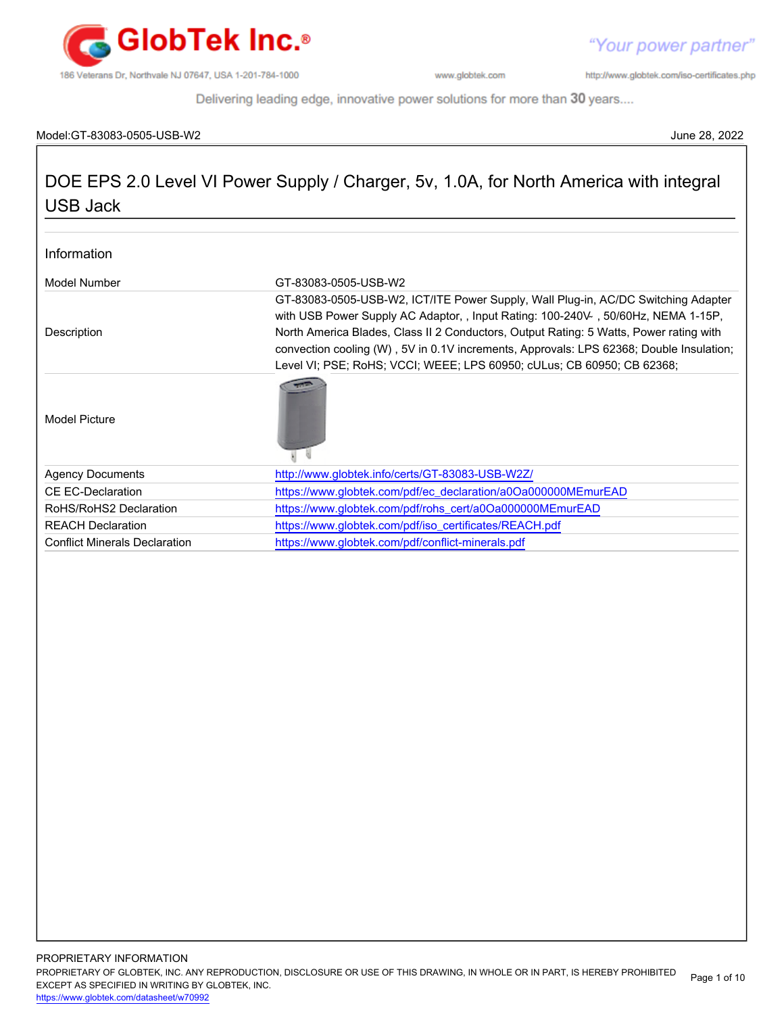

http://www.globtek.com/iso-certificates.php

Delivering leading edge, innovative power solutions for more than 30 years....

#### Model:GT-83083-0505-USB-W2 June 28, 2022

## DOE EPS 2.0 Level VI Power Supply / Charger, 5v, 1.0A, for North America with integral USB Jack

| Information                          |                                                                                                                                                                                                                                                                                                                                                                                                                                      |  |
|--------------------------------------|--------------------------------------------------------------------------------------------------------------------------------------------------------------------------------------------------------------------------------------------------------------------------------------------------------------------------------------------------------------------------------------------------------------------------------------|--|
| Model Number                         | GT-83083-0505-USB-W2                                                                                                                                                                                                                                                                                                                                                                                                                 |  |
| Description                          | GT-83083-0505-USB-W2, ICT/ITE Power Supply, Wall Plug-in, AC/DC Switching Adapter<br>with USB Power Supply AC Adaptor, , Input Rating: 100-240V, 50/60Hz, NEMA 1-15P,<br>North America Blades, Class II 2 Conductors, Output Rating: 5 Watts, Power rating with<br>convection cooling (W), 5V in 0.1V increments, Approvals: LPS 62368; Double Insulation;<br>Level VI; PSE; RoHS; VCCI; WEEE; LPS 60950; cULus; CB 60950; CB 62368; |  |
| Model Picture                        |                                                                                                                                                                                                                                                                                                                                                                                                                                      |  |
| <b>Agency Documents</b>              | http://www.globtek.info/certs/GT-83083-USB-W2Z/                                                                                                                                                                                                                                                                                                                                                                                      |  |
| <b>CE EC-Declaration</b>             | https://www.globtek.com/pdf/ec_declaration/a0Oa000000MEmurEAD                                                                                                                                                                                                                                                                                                                                                                        |  |
| RoHS/RoHS2 Declaration               | https://www.globtek.com/pdf/rohs_cert/a0Oa000000MEmurEAD                                                                                                                                                                                                                                                                                                                                                                             |  |
| <b>REACH Declaration</b>             | https://www.globtek.com/pdf/iso_certificates/REACH.pdf                                                                                                                                                                                                                                                                                                                                                                               |  |
| <b>Conflict Minerals Declaration</b> | https://www.globtek.com/pdf/conflict-minerals.pdf                                                                                                                                                                                                                                                                                                                                                                                    |  |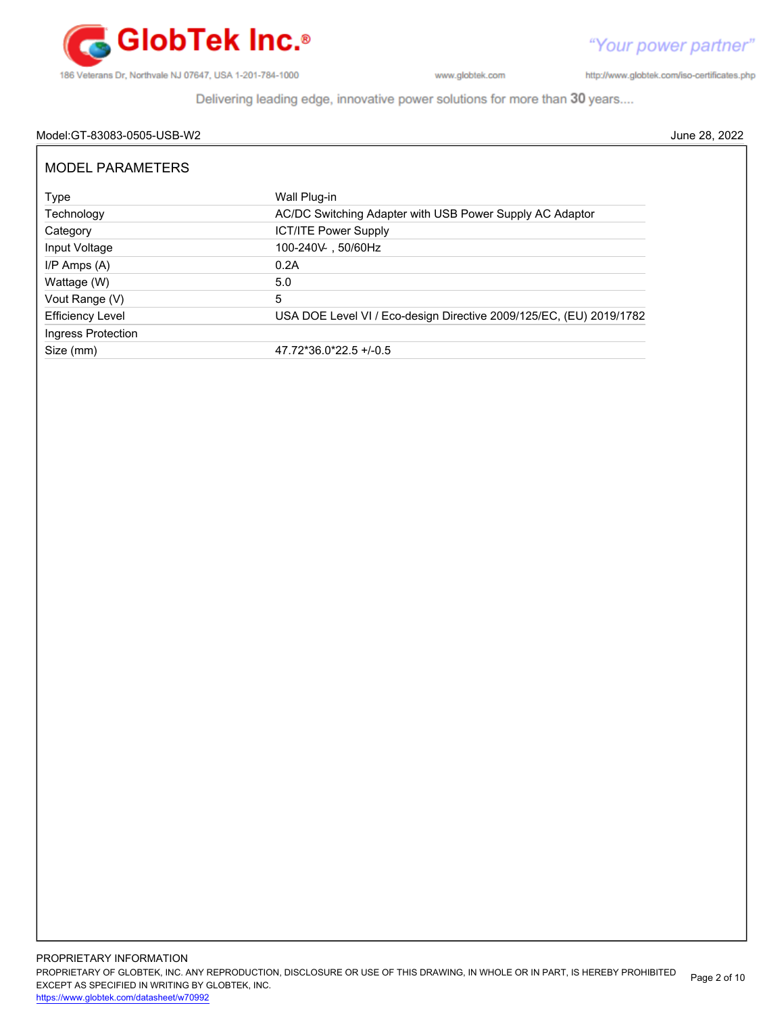

http://www.globtek.com/iso-certificates.php

Delivering leading edge, innovative power solutions for more than 30 years....

#### Model:GT-83083-0505-USB-W2 June 28, 2022

| <b>MODEL PARAMETERS</b> |                                                                     |
|-------------------------|---------------------------------------------------------------------|
| Type                    | Wall Plug-in                                                        |
| Technology              | AC/DC Switching Adapter with USB Power Supply AC Adaptor            |
| Category                | <b>ICT/ITE Power Supply</b>                                         |
| Input Voltage           | 100-240V 50/60Hz                                                    |
| $I/P$ Amps $(A)$        | 0.2A                                                                |
| Wattage (W)             | 5.0                                                                 |
| Vout Range (V)          | 5                                                                   |
| <b>Efficiency Level</b> | USA DOE Level VI / Eco-design Directive 2009/125/EC, (EU) 2019/1782 |
| Ingress Protection      |                                                                     |
| Size (mm)               | $47.72*36.0*22.5+/-0.5$                                             |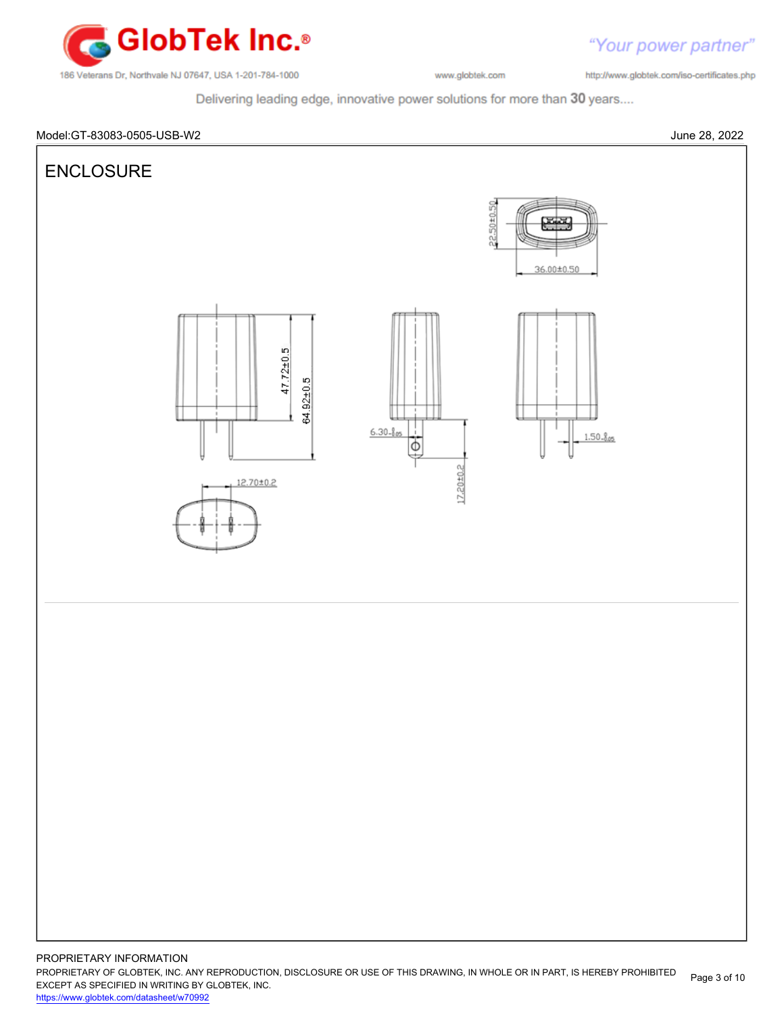

"Your power partner"

http://www.globtek.com/iso-certificates.php

Delivering leading edge, innovative power solutions for more than 30 years....



PROPRIETARY OF GLOBTEK, INC. ANY REPRODUCTION, DISCLOSURE OR USE OF THIS DRAWING, IN WHOLE OR IN PART, IS HEREBY PROHIBITED EXCEPT AS SPECIFIED IN WRITING BY GLOBTEK, INC. <https://www.globtek.com/datasheet/w70992> Page 3 of 10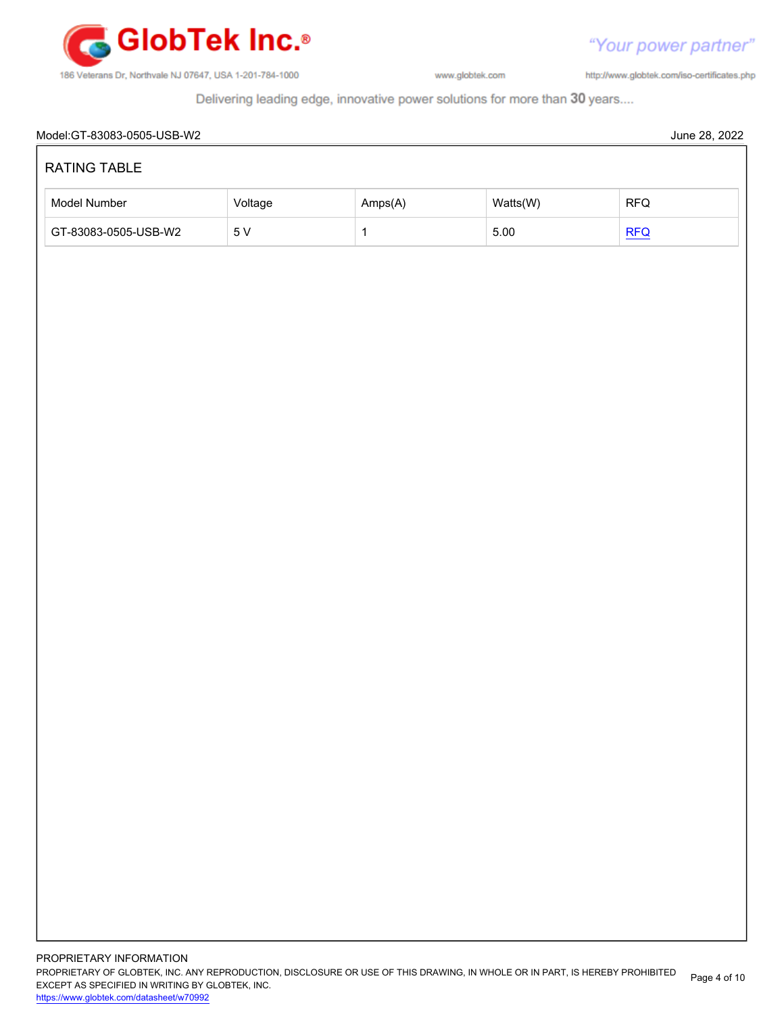![](_page_3_Picture_0.jpeg)

http://www.globtek.com/iso-certificates.php

Delivering leading edge, innovative power solutions for more than 30 years....

| Model Number         | Voltage         | Amps(A)      | Watts(W) | RFQ |
|----------------------|-----------------|--------------|----------|-----|
| GT-83083-0505-USB-W2 | $5\,\mathrm{V}$ | $\mathbf{1}$ | $5.00\,$ | REQ |
|                      |                 |              |          |     |
|                      |                 |              |          |     |
|                      |                 |              |          |     |
|                      |                 |              |          |     |
|                      |                 |              |          |     |
|                      |                 |              |          |     |
|                      |                 |              |          |     |
|                      |                 |              |          |     |
|                      |                 |              |          |     |
|                      |                 |              |          |     |
|                      |                 |              |          |     |
|                      |                 |              |          |     |
|                      |                 |              |          |     |
|                      |                 |              |          |     |
|                      |                 |              |          |     |
|                      |                 |              |          |     |
|                      |                 |              |          |     |
|                      |                 |              |          |     |
|                      |                 |              |          |     |
|                      |                 |              |          |     |
|                      |                 |              |          |     |
|                      |                 |              |          |     |
|                      |                 |              |          |     |
|                      |                 |              |          |     |
|                      |                 |              |          |     |
|                      |                 |              |          |     |
|                      |                 |              |          |     |
|                      |                 |              |          |     |
|                      |                 |              |          |     |
|                      |                 |              |          |     |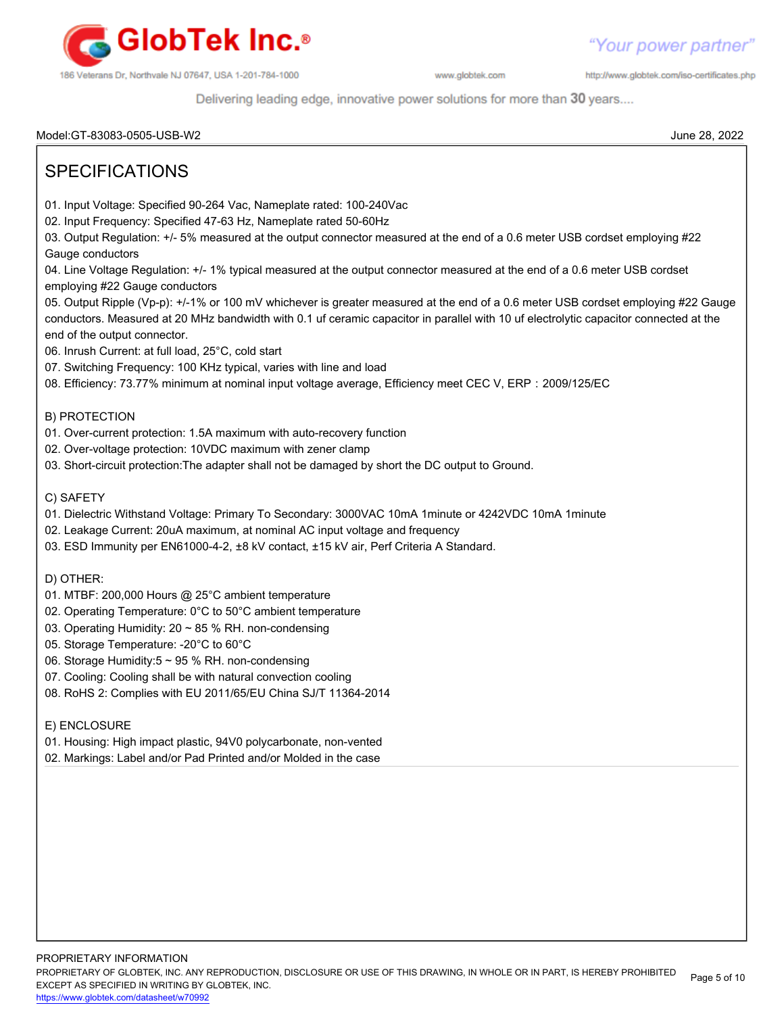![](_page_4_Picture_0.jpeg)

http://www.globtek.com/iso-certificates.php

Delivering leading edge, innovative power solutions for more than 30 years....

Model:GT-83083-0505-USB-W2 June 28, 2022

## SPECIFICATIONS 01. Input Voltage: Specified 90-264 Vac, Nameplate rated: 100-240Vac 02. Input Frequency: Specified 47-63 Hz, Nameplate rated 50-60Hz 03. Output Regulation: +/- 5% measured at the output connector measured at the end of a 0.6 meter USB cordset employing #22 Gauge conductors 04. Line Voltage Regulation: +/- 1% typical measured at the output connector measured at the end of a 0.6 meter USB cordset employing #22 Gauge conductors 05. Output Ripple (Vp-p): +/-1% or 100 mV whichever is greater measured at the end of a 0.6 meter USB cordset employing #22 Gauge conductors. Measured at 20 MHz bandwidth with 0.1 uf ceramic capacitor in parallel with 10 uf electrolytic capacitor connected at the end of the output connector. 06. Inrush Current: at full load, 25°C, cold start 07. Switching Frequency: 100 KHz typical, varies with line and load 08. Efficiency: 73.77% minimum at nominal input voltage average, Efficiency meet CEC Ⅴ, ERP:2009/125/EC B) PROTECTION 01. Over-current protection: 1.5A maximum with auto-recovery function 02. Over-voltage protection: 10VDC maximum with zener clamp 03. Short-circuit protection:The adapter shall not be damaged by short the DC output to Ground. C) SAFETY 01. Dielectric Withstand Voltage: Primary To Secondary: 3000VAC 10mA 1minute or 4242VDC 10mA 1minute 02. Leakage Current: 20uA maximum, at nominal AC input voltage and frequency 03. ESD Immunity per EN61000-4-2, ±8 kV contact, ±15 kV air, Perf Criteria A Standard. D) OTHER: 01. MTBF: 200,000 Hours @ 25°C ambient temperature 02. Operating Temperature: 0°C to 50°C ambient temperature 03. Operating Humidity: 20 ~ 85 % RH. non-condensing 05. Storage Temperature: -20°C to 60°C 06. Storage Humidity:5 ~ 95 % RH. non-condensing 07. Cooling: Cooling shall be with natural convection cooling 08. RoHS 2: Complies with EU 2011/65/EU China SJ/T 11364-2014 E) ENCLOSURE 01. Housing: High impact plastic, 94V0 polycarbonate, non-vented 02. Markings: Label and/or Pad Printed and/or Molded in the case

PROPRIETARY INFORMATION PROPRIETARY OF GLOBTEK, INC. ANY REPRODUCTION, DISCLOSURE OR USE OF THIS DRAWING, IN WHOLE OR IN PART, IS HEREBY PROHIBITED EXCEPT AS SPECIFIED IN WRITING BY GLOBTEK, INC. <https://www.globtek.com/datasheet/w70992> Page 5 of 10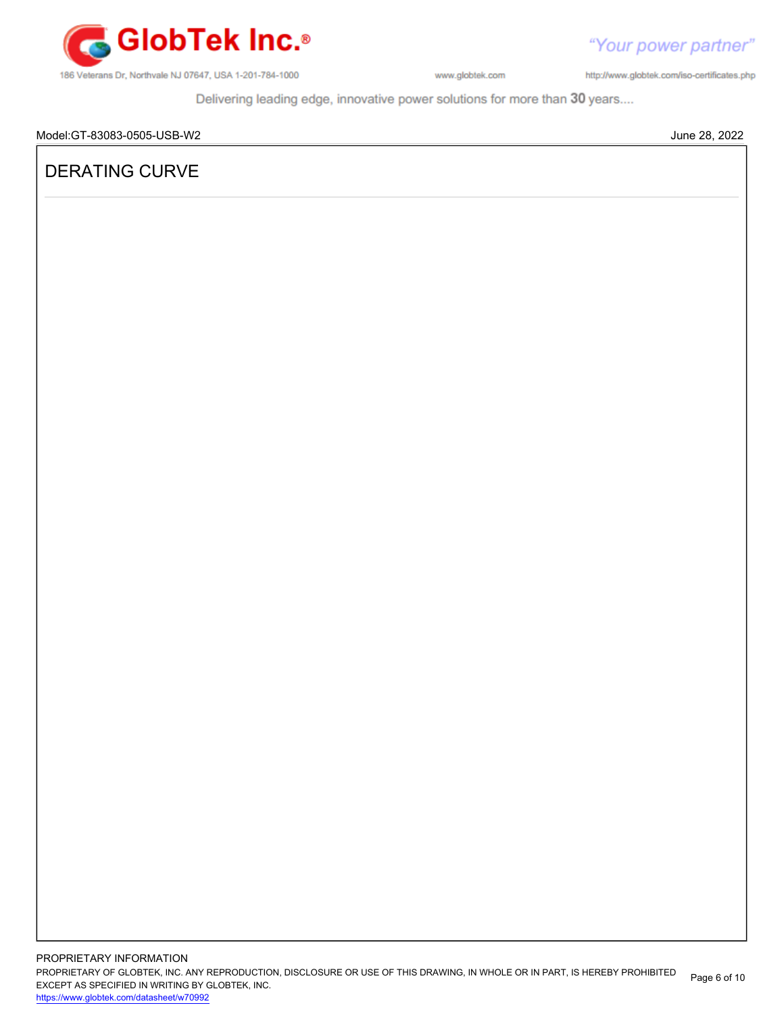![](_page_5_Picture_0.jpeg)

http://www.globtek.com/iso-certificates.php

Delivering leading edge, innovative power solutions for more than 30 years....

### DERATING CURVE

PROPRIETARY INFORMATION PROPRIETARY OF GLOBTEK, INC. ANY REPRODUCTION, DISCLOSURE OR USE OF THIS DRAWING, IN WHOLE OR IN PART, IS HEREBY PROHIBITED EXCEPT AS SPECIFIED IN WRITING BY GLOBTEK, INC. <https://www.globtek.com/datasheet/w70992> Page 6 of 10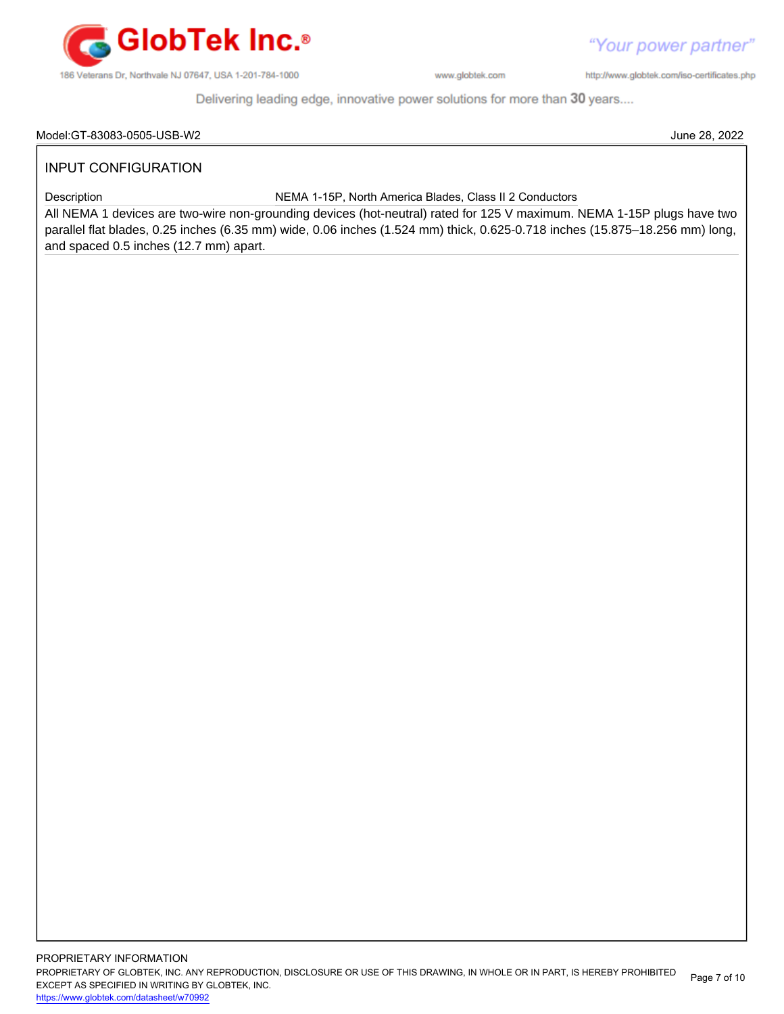![](_page_6_Picture_0.jpeg)

"Your power partner" http://www.globtek.com/iso-certificates.php

Delivering leading edge, innovative power solutions for more than 30 years....

#### Model:GT-83083-0505-USB-W2 June 28, 2022

#### INPUT CONFIGURATION

Description NEMA 1-15P, North America Blades, Class II 2 Conductors

All NEMA 1 devices are two-wire non-grounding devices (hot-neutral) rated for 125 V maximum. NEMA 1-15P plugs have two parallel flat blades, 0.25 inches (6.35 mm) wide, 0.06 inches (1.524 mm) thick, 0.625-0.718 inches (15.875–18.256 mm) long, and spaced 0.5 inches (12.7 mm) apart.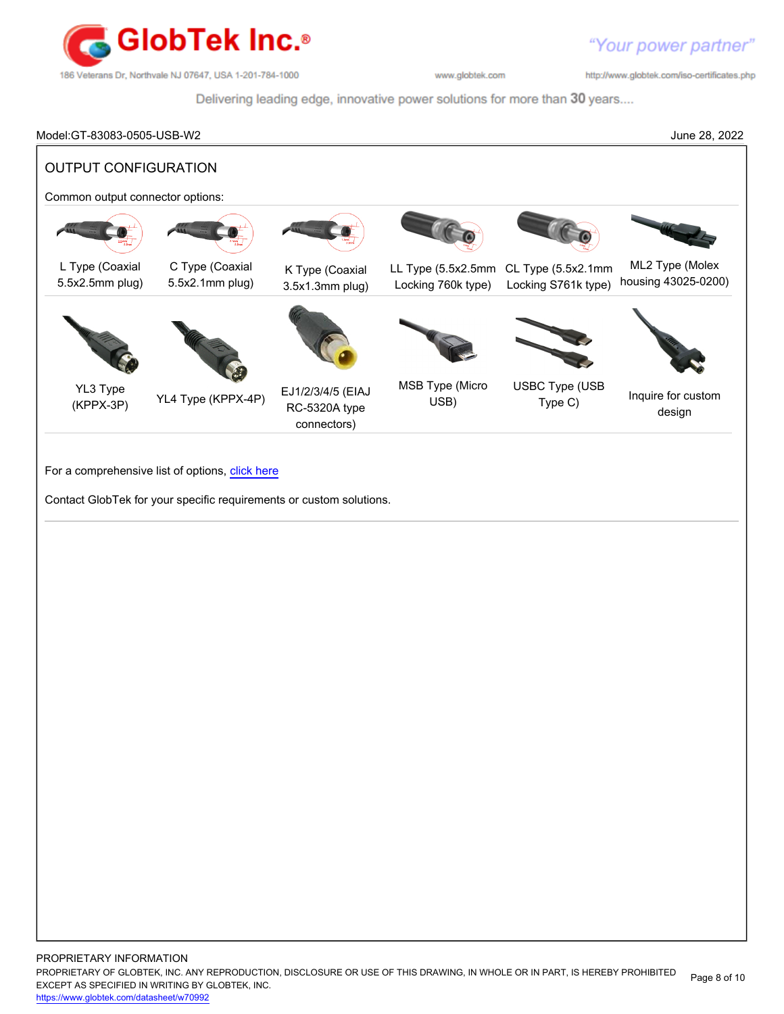![](_page_7_Picture_0.jpeg)

http://www.globtek.com/iso-certificates.php

Delivering leading edge, innovative power solutions for more than 30 years....

# Model:GT-83083-0505-USB-W2 June 28, 2022 OUTPUT CONFIGURATION Common output connector options: L Type (Coaxial 5.5x2.5mm plug) C Type (Coaxial 5.5x2.1mm plug) K Type (Coaxial 3.5x1.3mm plug) LL Type (5.5x2.5mm CL Type (5.5x2.1mm Locking 760k type) Locking S761k type) ML2 Type (Molex housing 43025-0200) YL3 Type (KPPX-3P) YL4 Type (KPPX-4P) EJ1/2/3/4/5 (EIAJ RC-5320A type connectors) MSB Type (Micro USB) USBC Type (USB Type (CCC Inquire for custom design For a comprehensive list of options, [click here](https://en.globtek.com/globtek-output-cordsets/) Contact GlobTek for your specific requirements or custom solutions.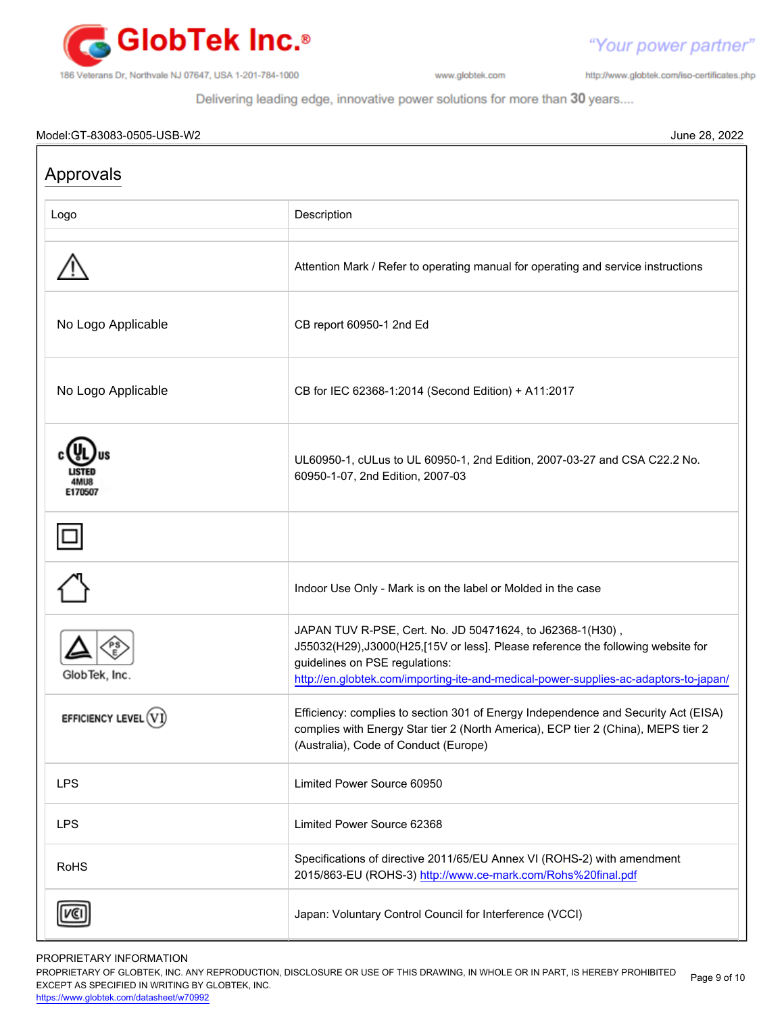![](_page_8_Picture_0.jpeg)

http://www.globtek.com/iso-certificates.php

"Your power partner"

Delivering leading edge, innovative power solutions for more than 30 years....

#### Model:GT-83083-0505-USB-W2 June 28, 2022

| Approvals            |                                                                                                                                                                                                                                                                        |  |
|----------------------|------------------------------------------------------------------------------------------------------------------------------------------------------------------------------------------------------------------------------------------------------------------------|--|
| Logo                 | Description                                                                                                                                                                                                                                                            |  |
|                      | Attention Mark / Refer to operating manual for operating and service instructions                                                                                                                                                                                      |  |
| No Logo Applicable   | CB report 60950-1 2nd Ed                                                                                                                                                                                                                                               |  |
| No Logo Applicable   | CB for IEC 62368-1:2014 (Second Edition) + A11:2017                                                                                                                                                                                                                    |  |
| <b>E170507</b>       | UL60950-1, cULus to UL 60950-1, 2nd Edition, 2007-03-27 and CSA C22.2 No.<br>60950-1-07, 2nd Edition, 2007-03                                                                                                                                                          |  |
|                      |                                                                                                                                                                                                                                                                        |  |
|                      | Indoor Use Only - Mark is on the label or Molded in the case                                                                                                                                                                                                           |  |
| GlobTek, Inc.        | JAPAN TUV R-PSE, Cert. No. JD 50471624, to J62368-1(H30),<br>J55032(H29),J3000(H25,[15V or less]. Please reference the following website for<br>guidelines on PSE regulations:<br>http://en.globtek.com/importing-ite-and-medical-power-supplies-ac-adaptors-to-japan/ |  |
| EFFICIENCY LEVEL (V) | Efficiency: complies to section 301 of Energy Independence and Security Act (EISA)<br>complies with Energy Star tier 2 (North America), ECP tier 2 (China), MEPS tier 2<br>(Australia), Code of Conduct (Europe)                                                       |  |
| <b>LPS</b>           | Limited Power Source 60950                                                                                                                                                                                                                                             |  |
| <b>LPS</b>           | Limited Power Source 62368                                                                                                                                                                                                                                             |  |
| <b>RoHS</b>          | Specifications of directive 2011/65/EU Annex VI (ROHS-2) with amendment<br>2015/863-EU (ROHS-3) http://www.ce-mark.com/Rohs%20final.pdf                                                                                                                                |  |
|                      | Japan: Voluntary Control Council for Interference (VCCI)                                                                                                                                                                                                               |  |

PROPRIETARY INFORMATION

PROPRIETARY OF GLOBTEK, INC. ANY REPRODUCTION, DISCLOSURE OR USE OF THIS DRAWING, IN WHOLE OR IN PART, IS HEREBY PROHIBITED EXCEPT AS SPECIFIED IN WRITING BY GLOBTEK, INC. Page 9 of 10